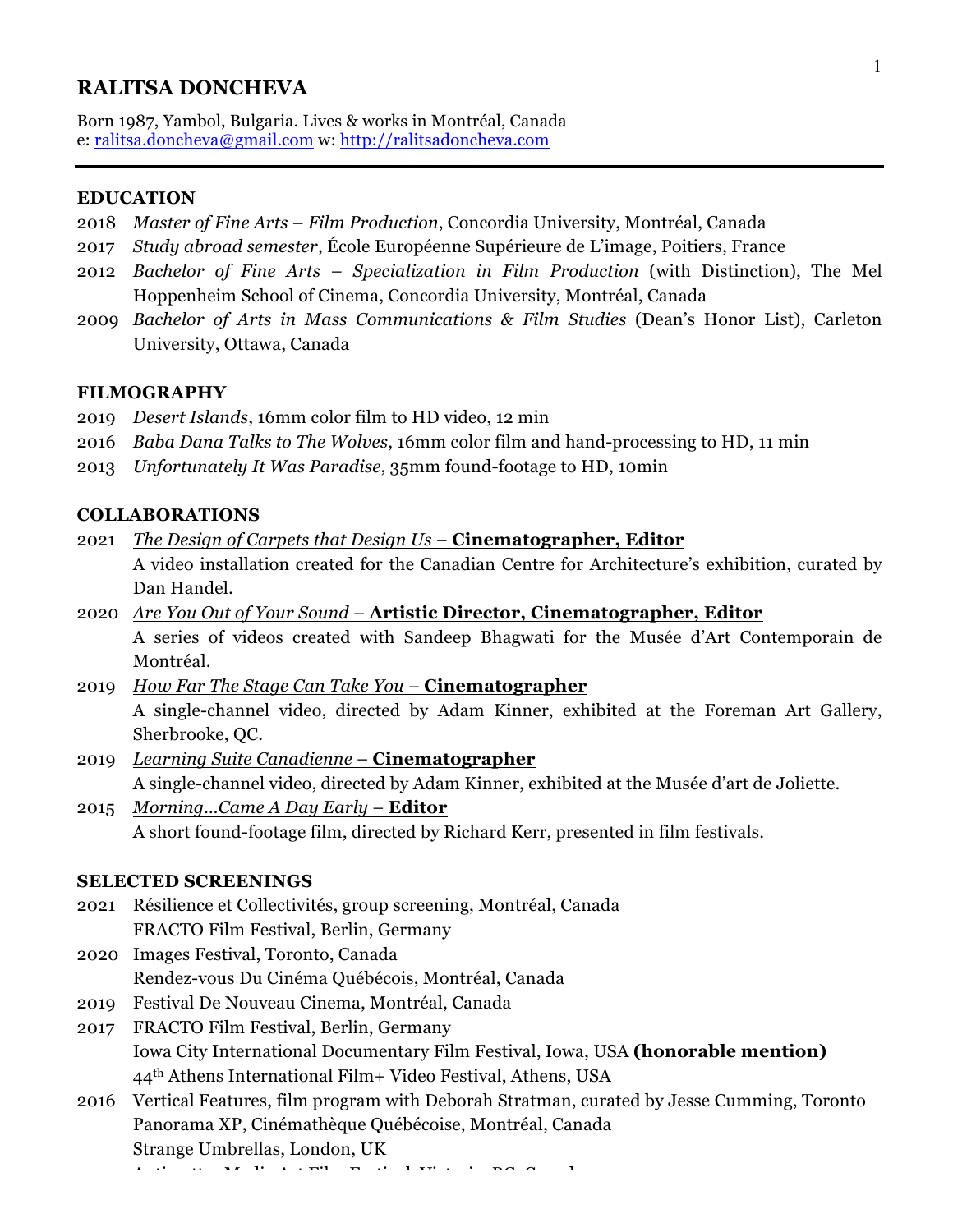#### **RALITSA DONCHEVA**

Born 1987, Yambol, Bulgaria. Lives & works in Montréal, Canada e: ralitsa.doncheva@gmail.com w: http://ralitsadoncheva.com

#### **EDUCATION**

- 2018 *Master of Fine Arts – Film Production*, Concordia University, Montréal, Canada
- 2017 *Study abroad semester*, École Européenne Supérieure de L'image, Poitiers, France
- 2012 *Bachelor of Fine Arts – Specialization in Film Production* (with Distinction), The Mel Hoppenheim School of Cinema, Concordia University, Montréal, Canada
- 2009 *Bachelor of Arts in Mass Communications & Film Studies* (Dean's Honor List), Carleton University, Ottawa, Canada

#### **FILMOGRAPHY**

- 2019 *Desert Islands*, 16mm color film to HD video, 12 min
- 2016 *Baba Dana Talks to The Wolves*, 16mm color film and hand-processing to HD, 11 min
- 2013 *Unfortunately It Was Paradise*, 35mm found-footage to HD, 10min

#### **COLLABORATIONS**

- 2021 *The Design of Carpets that Design Us* **Cinematographer, Editor** A video installation created for the Canadian Centre for Architecture's exhibition, curated by Dan Handel.
- 2020 *Are You Out of Your Sound* **Artistic Director, Cinematographer, Editor** A series of videos created with Sandeep Bhagwati for the Musée d'Art Contemporain de Montréal.
- 2019 *How Far The Stage Can Take You* **Cinematographer** A single-channel video, directed by Adam Kinner, exhibited at the Foreman Art Gallery, Sherbrooke, QC.
- 2019 *Learning Suite Canadienne* **Cinematographer** A single-channel video, directed by Adam Kinner, exhibited at the Musée d'art de Joliette.
- 2015 *Morning…Came A Day Early* **Editor** A short found-footage film, directed by Richard Kerr, presented in film festivals.

#### **SELECTED SCREENINGS**

- 2021 Résilience et Collectivités, group screening, Montréal, Canada FRACTO Film Festival, Berlin, Germany
- 2020 Images Festival, Toronto, Canada Rendez-vous Du Cinéma Québécois, Montréal, Canada
- 2019 Festival De Nouveau Cinema, Montréal, Canada
- 2017 FRACTO Film Festival, Berlin, Germany Iowa City International Documentary Film Festival, Iowa, USA **(honorable mention)** 44th Athens International Film+ Video Festival, Athens, USA
- 2016 Vertical Features, film program with Deborah Stratman, curated by Jesse Cumming, Toronto Panorama XP, Cinémathèque Québécoise, Montréal, Canada Strange Umbrellas, London, UK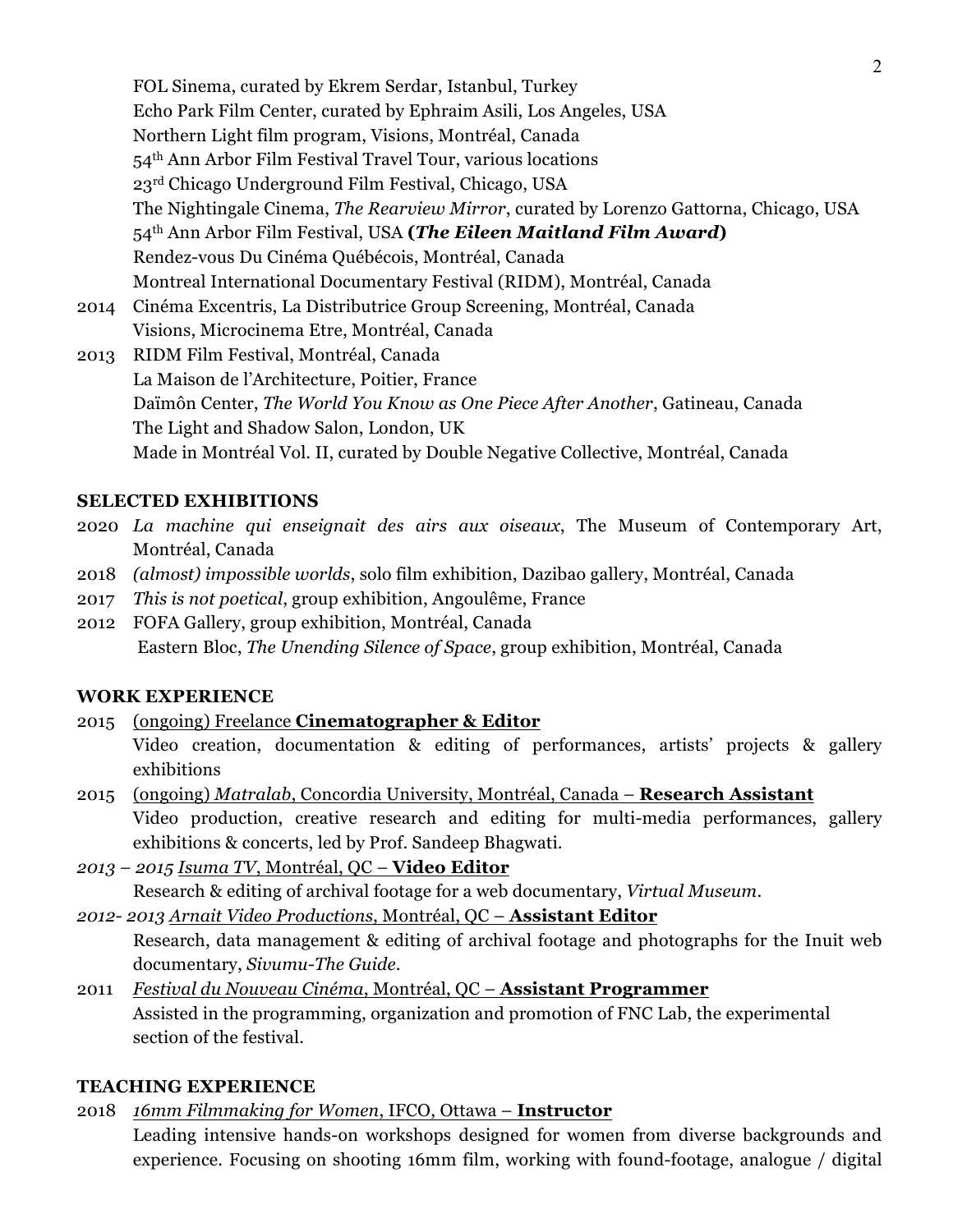FOL Sinema, curated by Ekrem Serdar, Istanbul, Turkey Echo Park Film Center, curated by Ephraim Asili, Los Angeles, USA Northern Light film program, Visions, Montréal, Canada 54th Ann Arbor Film Festival Travel Tour, various locations 23rd Chicago Underground Film Festival, Chicago, USA The Nightingale Cinema, *The Rearview Mirror*, curated by Lorenzo Gattorna, Chicago, USA 54th Ann Arbor Film Festival, USA **(***The Eileen Maitland Film Award***)** Rendez-vous Du Cinéma Québécois, Montréal, Canada Montreal International Documentary Festival (RIDM), Montréal, Canada

2014 Cinéma Excentris, La Distributrice Group Screening, Montréal, Canada Visions, Microcinema Etre, Montréal, Canada

2013 RIDM Film Festival, Montréal, Canada La Maison de l'Architecture, Poitier, France Daïmôn Center, *The World You Know as One Piece After Another*, Gatineau, Canada The Light and Shadow Salon, London, UK Made in Montréal Vol. II, curated by Double Negative Collective, Montréal, Canada

## **SELECTED EXHIBITIONS**

- 2020 *La machine qui enseignait des airs aux oiseaux*, The Museum of Contemporary Art, Montréal, Canada
- 2018 *(almost) impossible worlds*, solo film exhibition, Dazibao gallery, Montréal, Canada
- 2017 *This is not poetical*, group exhibition, Angoulême, France
- 2012 FOFA Gallery, group exhibition, Montréal, Canada Eastern Bloc, *The Unending Silence of Space*, group exhibition, Montréal, Canada

## **WORK EXPERIENCE**

## 2015 (ongoing) Freelance **Cinematographer & Editor**

- Video creation, documentation & editing of performances, artists' projects & gallery exhibitions
- 2015 (ongoing) *Matralab*, Concordia University, Montréal, Canada **Research Assistant** Video production, creative research and editing for multi-media performances, gallery exhibitions & concerts, led by Prof. Sandeep Bhagwati.
- *2013 – 2015 Isuma TV*, Montréal, QC **Video Editor** Research & editing of archival footage for a web documentary, *Virtual Museum*.

*2012- 2013 Arnait Video Productions*, Montréal, QC – **Assistant Editor** Research, data management & editing of archival footage and photographs for the Inuit web documentary, *Sivumu-The Guide*.

2011 *Festival du Nouveau Cinéma*, Montréal, QC – **Assistant Programmer** Assisted in the programming, organization and promotion of FNC Lab, the experimental section of the festival.

# **TEACHING EXPERIENCE**

2018 *16mm Filmmaking for Women*, IFCO, Ottawa – **Instructor**

Leading intensive hands-on workshops designed for women from diverse backgrounds and experience. Focusing on shooting 16mm film, working with found-footage, analogue / digital